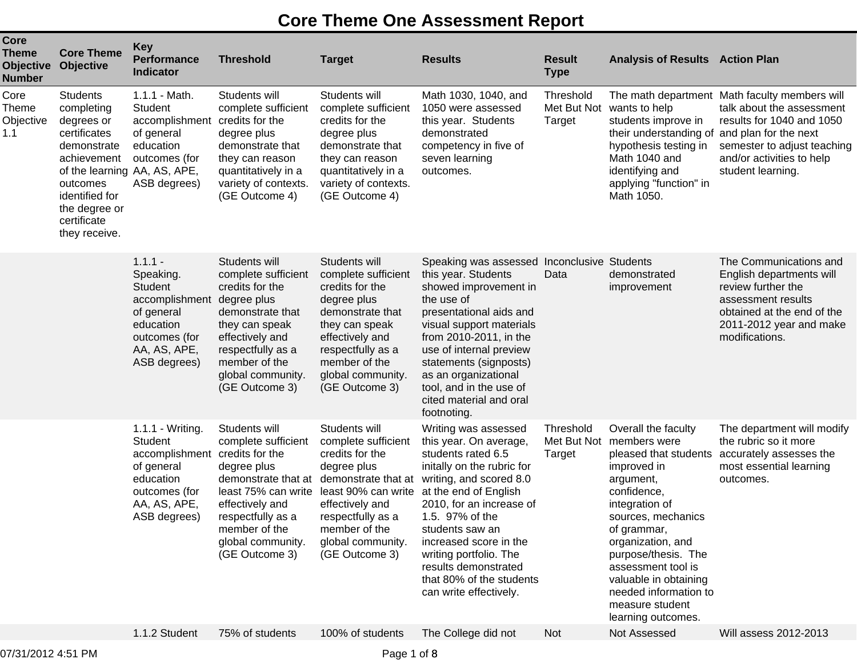## **Core Theme One Assessment Report**

| <b>Core</b><br><b>Theme</b><br><b>Objective</b><br><b>Number</b> | <b>Core Theme</b><br>Objective                                                                                                                                                                           | <b>Key</b><br><b>Performance</b><br><b>Indicator</b>                                                                                             | <b>Threshold</b>                                                                                                                                                                                  | <b>Target</b>                                                                                                                                                                                                        | <b>Results</b>                                                                                                                                                                                                                                                                                                                                             | <b>Result</b><br><b>Type</b>  | <b>Analysis of Results Action Plan</b>                                                                                                                                                                                                                                                                                                  |                                                                                                                                                                                          |
|------------------------------------------------------------------|----------------------------------------------------------------------------------------------------------------------------------------------------------------------------------------------------------|--------------------------------------------------------------------------------------------------------------------------------------------------|---------------------------------------------------------------------------------------------------------------------------------------------------------------------------------------------------|----------------------------------------------------------------------------------------------------------------------------------------------------------------------------------------------------------------------|------------------------------------------------------------------------------------------------------------------------------------------------------------------------------------------------------------------------------------------------------------------------------------------------------------------------------------------------------------|-------------------------------|-----------------------------------------------------------------------------------------------------------------------------------------------------------------------------------------------------------------------------------------------------------------------------------------------------------------------------------------|------------------------------------------------------------------------------------------------------------------------------------------------------------------------------------------|
| Core<br><b>Theme</b><br>Objective<br>1.1                         | <b>Students</b><br>completing<br>degrees or<br>certificates<br>demonstrate<br>achievement<br>of the learning AA, AS, APE,<br>outcomes<br>identified for<br>the degree or<br>certificate<br>they receive. | 1.1.1 - Math.<br>Student<br>accomplishment<br>of general<br>education<br>outcomes (for<br>ASB degrees)                                           | Students will<br>complete sufficient<br>credits for the<br>degree plus<br>demonstrate that<br>they can reason<br>quantitatively in a<br>variety of contexts.<br>(GE Outcome 4)                    | Students will<br>complete sufficient<br>credits for the<br>degree plus<br>demonstrate that<br>they can reason<br>quantitatively in a<br>variety of contexts.<br>(GE Outcome 4)                                       | Math 1030, 1040, and<br>1050 were assessed<br>this year. Students<br>demonstrated<br>competency in five of<br>seven learning<br>outcomes.                                                                                                                                                                                                                  | Threshold<br>Target           | Met But Not wants to help<br>students improve in<br>their understanding of and plan for the next<br>hypothesis testing in<br>Math 1040 and<br>identifying and<br>applying "function" in<br>Math 1050.                                                                                                                                   | The math department Math faculty members will<br>talk about the assessment<br>results for 1040 and 1050<br>semester to adjust teaching<br>and/or activities to help<br>student learning. |
|                                                                  |                                                                                                                                                                                                          | $1.1.1 -$<br>Speaking.<br>Student<br>accomplishment degree plus<br>of general<br>education<br>outcomes (for<br>AA, AS, APE,<br>ASB degrees)      | Students will<br>complete sufficient<br>credits for the<br>demonstrate that<br>they can speak<br>effectively and<br>respectfully as a<br>member of the<br>global community.<br>(GE Outcome 3)     | Students will<br>complete sufficient<br>credits for the<br>degree plus<br>demonstrate that<br>they can speak<br>effectively and<br>respectfully as a<br>member of the<br>global community.<br>(GE Outcome 3)         | Speaking was assessed<br>this year. Students<br>showed improvement in<br>the use of<br>presentational aids and<br>visual support materials<br>from 2010-2011, in the<br>use of internal preview<br>statements (signposts)<br>as an organizational<br>tool, and in the use of<br>cited material and oral<br>footnoting.                                     | Inconclusive Students<br>Data | demonstrated<br>improvement                                                                                                                                                                                                                                                                                                             | The Communications and<br>English departments will<br>review further the<br>assessment results<br>obtained at the end of the<br>2011-2012 year and make<br>modifications.                |
|                                                                  |                                                                                                                                                                                                          | 1.1.1 - Writing.<br><b>Student</b><br>accomplishment credits for the<br>of general<br>education<br>outcomes (for<br>AA, AS, APE,<br>ASB degrees) | Students will<br>complete sufficient<br>degree plus<br>demonstrate that at<br>least 75% can write<br>effectively and<br>respectfully as a<br>member of the<br>global community.<br>(GE Outcome 3) | Students will<br>complete sufficient<br>credits for the<br>degree plus<br>demonstrate that at<br>least 90% can write<br>effectively and<br>respectfully as a<br>member of the<br>global community.<br>(GE Outcome 3) | Writing was assessed<br>this year. On average,<br>students rated 6.5<br>initally on the rubric for<br>writing, and scored 8.0<br>at the end of English<br>2010, for an increase of<br>1.5. 97% of the<br>students saw an<br>increased score in the<br>writing portfolio. The<br>results demonstrated<br>that 80% of the students<br>can write effectively. | Threshold<br>Target           | Overall the faculty<br>Met But Not members were<br>pleased that students<br>improved in<br>argument,<br>confidence,<br>integration of<br>sources, mechanics<br>of grammar,<br>organization, and<br>purpose/thesis. The<br>assessment tool is<br>valuable in obtaining<br>needed information to<br>measure student<br>learning outcomes. | The department will modify<br>the rubric so it more<br>accurately assesses the<br>most essential learning<br>outcomes.                                                                   |
|                                                                  |                                                                                                                                                                                                          | 1.1.2 Student                                                                                                                                    | 75% of students                                                                                                                                                                                   | 100% of students                                                                                                                                                                                                     | The College did not                                                                                                                                                                                                                                                                                                                                        | <b>Not</b>                    | Not Assessed                                                                                                                                                                                                                                                                                                                            | Will assess 2012-2013                                                                                                                                                                    |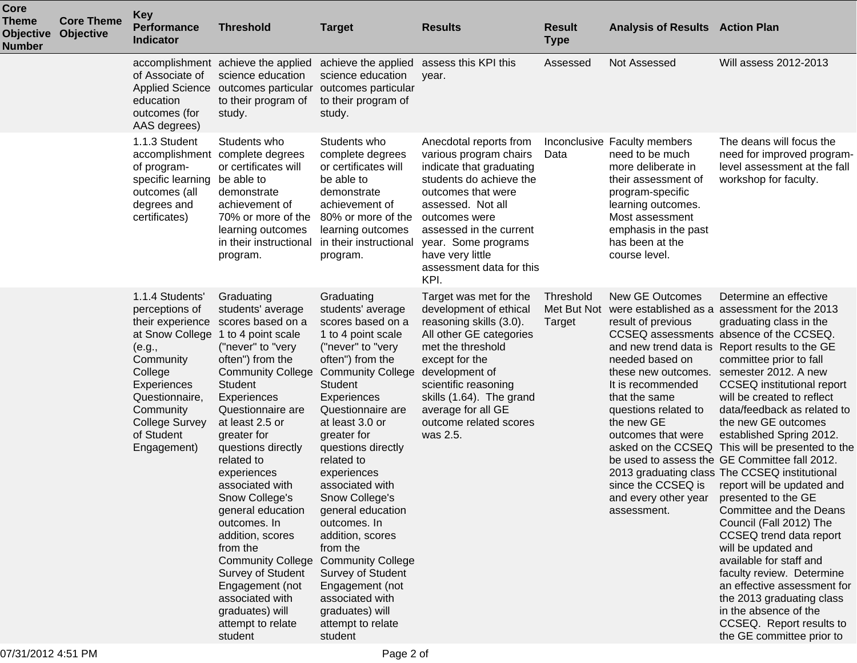| Core<br><b>Theme</b><br><b>Objective</b><br><b>Number</b> | <b>Core Theme</b><br><b>Objective</b> | <b>Key</b><br><b>Performance</b><br><b>Indicator</b>                                                                                                                                        | <b>Threshold</b>                                                                                                                                                                                                                                                                                                                                                                                                                                                                                                                                               | <b>Target</b>                                                                                                                                                                                                                                                                                                                                                                                                                                                                                                                                  | <b>Results</b>                                                                                                                                                                                                                                                                  | <b>Result</b><br><b>Type</b>       | <b>Analysis of Results Action Plan</b>                                                                                                                                                                                          |                                                                                                                                                                                                                                                                                                                                                                                                                                                                                                                                                                                                                                                                                                                                                                                                                                                                                                                                                     |
|-----------------------------------------------------------|---------------------------------------|---------------------------------------------------------------------------------------------------------------------------------------------------------------------------------------------|----------------------------------------------------------------------------------------------------------------------------------------------------------------------------------------------------------------------------------------------------------------------------------------------------------------------------------------------------------------------------------------------------------------------------------------------------------------------------------------------------------------------------------------------------------------|------------------------------------------------------------------------------------------------------------------------------------------------------------------------------------------------------------------------------------------------------------------------------------------------------------------------------------------------------------------------------------------------------------------------------------------------------------------------------------------------------------------------------------------------|---------------------------------------------------------------------------------------------------------------------------------------------------------------------------------------------------------------------------------------------------------------------------------|------------------------------------|---------------------------------------------------------------------------------------------------------------------------------------------------------------------------------------------------------------------------------|-----------------------------------------------------------------------------------------------------------------------------------------------------------------------------------------------------------------------------------------------------------------------------------------------------------------------------------------------------------------------------------------------------------------------------------------------------------------------------------------------------------------------------------------------------------------------------------------------------------------------------------------------------------------------------------------------------------------------------------------------------------------------------------------------------------------------------------------------------------------------------------------------------------------------------------------------------|
|                                                           |                                       | of Associate of<br><b>Applied Science</b><br>education<br>outcomes (for<br>AAS degrees)                                                                                                     | accomplishment achieve the applied<br>science education<br>outcomes particular<br>to their program of<br>study.                                                                                                                                                                                                                                                                                                                                                                                                                                                | achieve the applied<br>science education<br>outcomes particular<br>to their program of<br>study.                                                                                                                                                                                                                                                                                                                                                                                                                                               | assess this KPI this<br>year.                                                                                                                                                                                                                                                   | Assessed                           | Not Assessed                                                                                                                                                                                                                    | Will assess 2012-2013                                                                                                                                                                                                                                                                                                                                                                                                                                                                                                                                                                                                                                                                                                                                                                                                                                                                                                                               |
|                                                           |                                       | 1.1.3 Student<br>accomplishment<br>of program-<br>specific learning<br>outcomes (all<br>degrees and<br>certificates)                                                                        | Students who<br>complete degrees<br>or certificates will<br>be able to<br>demonstrate<br>achievement of<br>70% or more of the<br>learning outcomes<br>in their instructional<br>program.                                                                                                                                                                                                                                                                                                                                                                       | Students who<br>complete degrees<br>or certificates will<br>be able to<br>demonstrate<br>achievement of<br>80% or more of the<br>learning outcomes<br>in their instructional<br>program.                                                                                                                                                                                                                                                                                                                                                       | Anecdotal reports from<br>various program chairs<br>indicate that graduating<br>students do achieve the<br>outcomes that were<br>assessed. Not all<br>outcomes were<br>assessed in the current<br>year. Some programs<br>have very little<br>assessment data for this<br>KPI.   | Data                               | Inconclusive Faculty members<br>need to be much<br>more deliberate in<br>their assessment of<br>program-specific<br>learning outcomes.<br>Most assessment<br>emphasis in the past<br>has been at the<br>course level.           | The deans will focus the<br>need for improved program-<br>level assessment at the fall<br>workshop for faculty.                                                                                                                                                                                                                                                                                                                                                                                                                                                                                                                                                                                                                                                                                                                                                                                                                                     |
|                                                           |                                       | 1.1.4 Students'<br>perceptions of<br>their experience<br>(e.g.,<br>Community<br>College<br>Experiences<br>Questionnaire,<br>Community<br><b>College Survey</b><br>of Student<br>Engagement) | Graduating<br>students' average<br>scores based on a<br>at Snow College 1 to 4 point scale<br>("never" to "very<br>often") from the<br><b>Community College</b><br><b>Student</b><br>Experiences<br>Questionnaire are<br>at least 2.5 or<br>greater for<br>questions directly<br>related to<br>experiences<br>associated with<br>Snow College's<br>general education<br>outcomes. In<br>addition, scores<br>from the<br><b>Community College</b><br>Survey of Student<br>Engagement (not<br>associated with<br>graduates) will<br>attempt to relate<br>student | Graduating<br>students' average<br>scores based on a<br>1 to 4 point scale<br>("never" to "very<br>often") from the<br><b>Community College</b><br>Student<br>Experiences<br>Questionnaire are<br>at least 3.0 or<br>greater for<br>questions directly<br>related to<br>experiences<br>associated with<br>Snow College's<br>general education<br>outcomes. In<br>addition, scores<br>from the<br><b>Community College</b><br><b>Survey of Student</b><br>Engagement (not<br>associated with<br>graduates) will<br>attempt to relate<br>student | Target was met for the<br>development of ethical<br>reasoning skills (3.0).<br>All other GE categories<br>met the threshold<br>except for the<br>development of<br>scientific reasoning<br>skills (1.64). The grand<br>average for all GE<br>outcome related scores<br>was 2.5. | Threshold<br>Met But Not<br>Target | <b>New GE Outcomes</b><br>result of previous<br>needed based on<br>these new outcomes.<br>It is recommended<br>that the same<br>questions related to<br>the new GE<br>outcomes that were<br>and every other year<br>assessment. | Determine an effective<br>were established as a assessment for the 2013<br>graduating class in the<br>CCSEQ assessments absence of the CCSEQ.<br>and new trend data is Report results to the GE<br>committee prior to fall<br>semester 2012. A new<br><b>CCSEQ</b> institutional report<br>will be created to reflect<br>data/feedback as related to<br>the new GE outcomes<br>established Spring 2012.<br>asked on the CCSEQ This will be presented to the<br>be used to assess the GE Committee fall 2012.<br>2013 graduating class The CCSEQ institutional<br>since the CCSEQ is report will be updated and<br>presented to the GE<br>Committee and the Deans<br>Council (Fall 2012) The<br>CCSEQ trend data report<br>will be updated and<br>available for staff and<br>faculty review. Determine<br>an effective assessment for<br>the 2013 graduating class<br>in the absence of the<br>CCSEQ. Report results to<br>the GE committee prior to |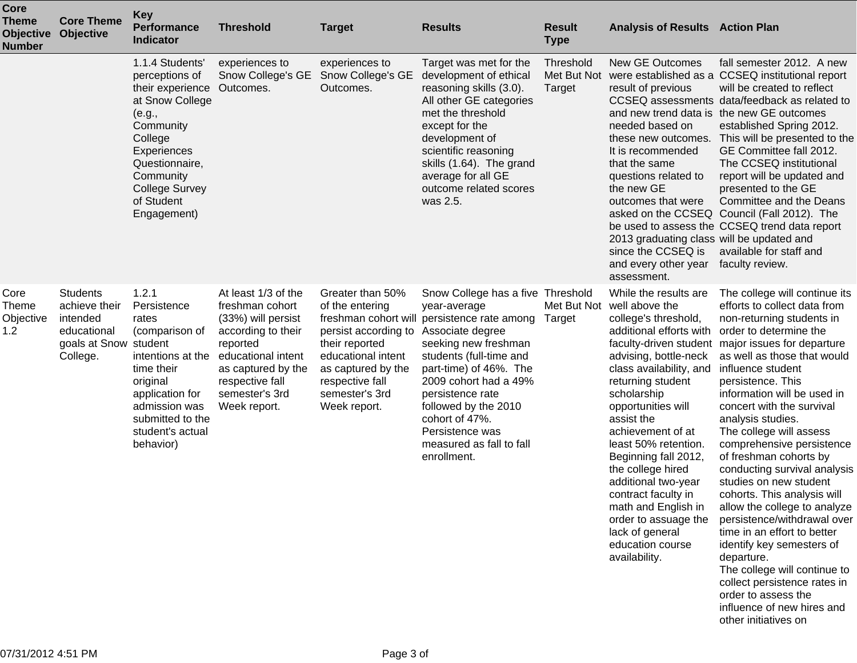| <b>Core</b><br><b>Theme</b><br><b>Objective</b><br><b>Number</b> | <b>Core Theme</b><br><b>Objective</b>                                                            | <b>Key</b><br><b>Performance</b><br><b>Indicator</b>                                                                                                                                                                     | <b>Threshold</b>                                                                                                                                                                                | <b>Target</b>                                                                                                                                                                  | <b>Results</b>                                                                                                                                                                                                                                                                                                                                         | <b>Result</b><br><b>Type</b>       | <b>Analysis of Results Action Plan</b>                                                                                                                                                                                                                                                                                                                                                                                                                                            |                                                                                                                                                                                                                                                                                                                                                                                                                                                                                                                                                                                                                                                                                                                                                |
|------------------------------------------------------------------|--------------------------------------------------------------------------------------------------|--------------------------------------------------------------------------------------------------------------------------------------------------------------------------------------------------------------------------|-------------------------------------------------------------------------------------------------------------------------------------------------------------------------------------------------|--------------------------------------------------------------------------------------------------------------------------------------------------------------------------------|--------------------------------------------------------------------------------------------------------------------------------------------------------------------------------------------------------------------------------------------------------------------------------------------------------------------------------------------------------|------------------------------------|-----------------------------------------------------------------------------------------------------------------------------------------------------------------------------------------------------------------------------------------------------------------------------------------------------------------------------------------------------------------------------------------------------------------------------------------------------------------------------------|------------------------------------------------------------------------------------------------------------------------------------------------------------------------------------------------------------------------------------------------------------------------------------------------------------------------------------------------------------------------------------------------------------------------------------------------------------------------------------------------------------------------------------------------------------------------------------------------------------------------------------------------------------------------------------------------------------------------------------------------|
|                                                                  |                                                                                                  | 1.1.4 Students'<br>perceptions of<br>their experience Outcomes.<br>at Snow College<br>(e.g.,<br>Community<br>College<br>Experiences<br>Questionnaire,<br>Community<br><b>College Survey</b><br>of Student<br>Engagement) | experiences to<br>Snow College's GE                                                                                                                                                             | experiences to<br>Snow College's GE<br>Outcomes.                                                                                                                               | Target was met for the<br>development of ethical<br>reasoning skills (3.0).<br>All other GE categories<br>met the threshold<br>except for the<br>development of<br>scientific reasoning<br>skills (1.64). The grand<br>average for all GE<br>outcome related scores<br>was 2.5.                                                                        | Threshold<br>Met But Not<br>Target | <b>New GE Outcomes</b><br>result of previous<br>needed based on<br>these new outcomes.<br>It is recommended<br>that the same<br>questions related to<br>the new GE<br>outcomes that were<br>2013 graduating class will be updated and<br>since the CCSEQ is<br>and every other year<br>assessment.                                                                                                                                                                                | fall semester 2012. A new<br>were established as a CCSEQ institutional report<br>will be created to reflect<br>CCSEQ assessments data/feedback as related to<br>and new trend data is the new GE outcomes<br>established Spring 2012.<br>This will be presented to the<br>GE Committee fall 2012.<br>The CCSEQ institutional<br>report will be updated and<br>presented to the GE<br>Committee and the Deans<br>asked on the CCSEQ Council (Fall 2012). The<br>be used to assess the CCSEQ trend data report<br>available for staff and<br>faculty review.                                                                                                                                                                                     |
| Core<br>Theme<br>Objective<br>1.2                                | <b>Students</b><br>achieve their<br>intended<br>educational<br>goals at Snow student<br>College. | 1.2.1<br>Persistence<br>rates<br>(comparison of<br>intentions at the<br>time their<br>original<br>application for<br>admission was<br>submitted to the<br>student's actual<br>behavior)                                  | At least 1/3 of the<br>freshman cohort<br>(33%) will persist<br>according to their<br>reported<br>educational intent<br>as captured by the<br>respective fall<br>semester's 3rd<br>Week report. | Greater than 50%<br>of the entering<br>persist according to<br>their reported<br>educational intent<br>as captured by the<br>respective fall<br>semester's 3rd<br>Week report. | Snow College has a five Threshold<br>year-average<br>freshman cohort will persistence rate among<br>Associate degree<br>seeking new freshman<br>students (full-time and<br>part-time) of 46%. The<br>2009 cohort had a 49%<br>persistence rate<br>followed by the 2010<br>cohort of 47%.<br>Persistence was<br>measured as fall to fall<br>enrollment. | Target                             | While the results are<br>Met But Not well above the<br>college's threshold,<br>additional efforts with<br>advising, bottle-neck<br>class availability, and<br>returning student<br>scholarship<br>opportunities will<br>assist the<br>achievement of at<br>least 50% retention.<br>Beginning fall 2012,<br>the college hired<br>additional two-year<br>contract faculty in<br>math and English in<br>order to assuage the<br>lack of general<br>education course<br>availability. | The college will continue its<br>efforts to collect data from<br>non-returning students in<br>order to determine the<br>faculty-driven student major issues for departure<br>as well as those that would<br>influence student<br>persistence. This<br>information will be used in<br>concert with the survival<br>analysis studies.<br>The college will assess<br>comprehensive persistence<br>of freshman cohorts by<br>conducting survival analysis<br>studies on new student<br>cohorts. This analysis will<br>allow the college to analyze<br>persistence/withdrawal over<br>time in an effort to better<br>identify key semesters of<br>departure.<br>The college will continue to<br>collect persistence rates in<br>order to assess the |

influence of new hires and

other initiatives on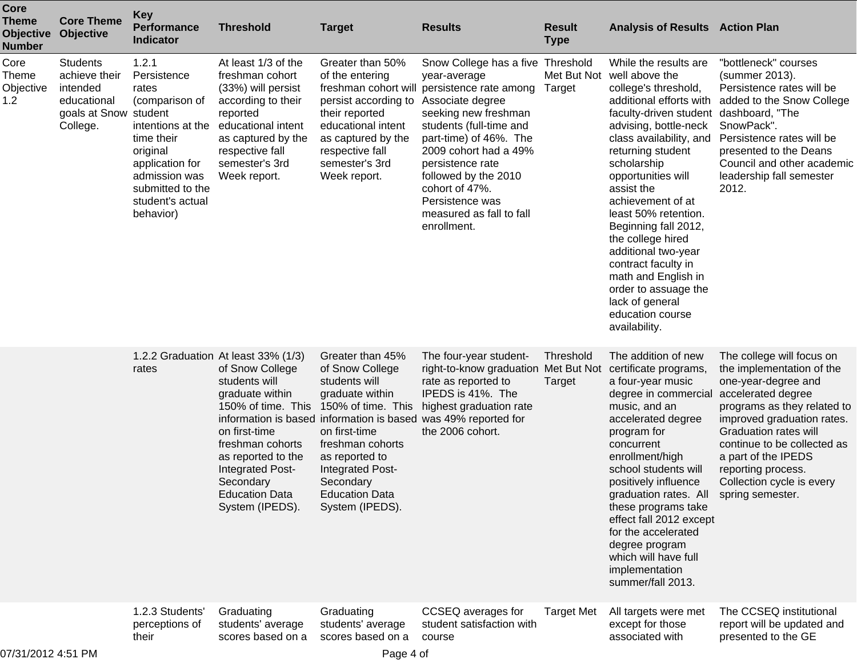| <b>Core</b><br><b>Theme</b><br><b>Objective</b><br><b>Number</b> | <b>Core Theme</b><br>Objective                                                                   | <b>Key</b><br><b>Performance</b><br><b>Indicator</b>                                                                                                                                    | <b>Threshold</b>                                                                                                                                                                                                                                         | <b>Target</b>                                                                                                                                                                                                                     | <b>Results</b>                                                                                                                                                                                                                                                                                                                                         | <b>Result</b><br><b>Type</b>       | <b>Analysis of Results Action Plan</b>                                                                                                                                                                                                                                                                                                                                                                                                                                                                                      |                                                                                                                                                                                                                                                                                                           |
|------------------------------------------------------------------|--------------------------------------------------------------------------------------------------|-----------------------------------------------------------------------------------------------------------------------------------------------------------------------------------------|----------------------------------------------------------------------------------------------------------------------------------------------------------------------------------------------------------------------------------------------------------|-----------------------------------------------------------------------------------------------------------------------------------------------------------------------------------------------------------------------------------|--------------------------------------------------------------------------------------------------------------------------------------------------------------------------------------------------------------------------------------------------------------------------------------------------------------------------------------------------------|------------------------------------|-----------------------------------------------------------------------------------------------------------------------------------------------------------------------------------------------------------------------------------------------------------------------------------------------------------------------------------------------------------------------------------------------------------------------------------------------------------------------------------------------------------------------------|-----------------------------------------------------------------------------------------------------------------------------------------------------------------------------------------------------------------------------------------------------------------------------------------------------------|
| Core<br><b>Theme</b><br>Objective<br>1.2                         | <b>Students</b><br>achieve their<br>intended<br>educational<br>goals at Snow student<br>College. | 1.2.1<br>Persistence<br>rates<br>(comparison of<br>intentions at the<br>time their<br>original<br>application for<br>admission was<br>submitted to the<br>student's actual<br>behavior) | At least 1/3 of the<br>freshman cohort<br>(33%) will persist<br>according to their<br>reported<br>educational intent<br>as captured by the<br>respective fall<br>semester's 3rd<br>Week report.                                                          | Greater than 50%<br>of the entering<br>persist according to<br>their reported<br>educational intent<br>as captured by the<br>respective fall<br>semester's 3rd<br>Week report.                                                    | Snow College has a five Threshold<br>year-average<br>freshman cohort will persistence rate among<br>Associate degree<br>seeking new freshman<br>students (full-time and<br>part-time) of 46%. The<br>2009 cohort had a 49%<br>persistence rate<br>followed by the 2010<br>cohort of 47%.<br>Persistence was<br>measured as fall to fall<br>enrollment. | Target                             | While the results are<br>Met But Not well above the<br>college's threshold,<br>additional efforts with<br>faculty-driven student dashboard, "The<br>advising, bottle-neck<br>class availability, and<br>returning student<br>scholarship<br>opportunities will<br>assist the<br>achievement of at<br>least 50% retention.<br>Beginning fall 2012,<br>the college hired<br>additional two-year<br>contract faculty in<br>math and English in<br>order to assuage the<br>lack of general<br>education course<br>availability. | "bottleneck" courses<br>(summer 2013).<br>Persistence rates will be<br>added to the Snow College<br>SnowPack".<br>Persistence rates will be<br>presented to the Deans<br>Council and other academic<br>leadership fall semester<br>2012.                                                                  |
|                                                                  |                                                                                                  | rates                                                                                                                                                                                   | 1.2.2 Graduation At least 33% (1/3)<br>of Snow College<br>students will<br>graduate within<br>150% of time. This<br>on first-time<br>freshman cohorts<br>as reported to the<br>Integrated Post-<br>Secondary<br><b>Education Data</b><br>System (IPEDS). | Greater than 45%<br>of Snow College<br>students will<br>graduate within<br>150% of time. This<br>on first-time<br>freshman cohorts<br>as reported to<br>Integrated Post-<br>Secondary<br><b>Education Data</b><br>System (IPEDS). | The four-year student-<br>right-to-know graduation<br>rate as reported to<br>IPEDS is 41%. The<br>highest graduation rate<br>information is based information is based was 49% reported for<br>the 2006 cohort.                                                                                                                                        | Threshold<br>Met But Not<br>Target | The addition of new<br>certificate programs,<br>a four-year music<br>degree in commercial<br>music, and an<br>accelerated degree<br>program for<br>concurrent<br>enrollment/high<br>school students will<br>positively influence<br>graduation rates. All spring semester.<br>these programs take<br>effect fall 2012 except<br>for the accelerated<br>degree program<br>which will have full<br>implementation<br>summer/fall 2013.                                                                                        | The college will focus on<br>the implementation of the<br>one-year-degree and<br>accelerated degree<br>programs as they related to<br>improved graduation rates.<br><b>Graduation rates will</b><br>continue to be collected as<br>a part of the IPEDS<br>reporting process.<br>Collection cycle is every |
| 07/31/2012 4:51 PM                                               |                                                                                                  | 1.2.3 Students'<br>perceptions of<br>their                                                                                                                                              | Graduating<br>students' average<br>scores based on a                                                                                                                                                                                                     | Graduating<br>students' average<br>scores based on a<br>Page 4 of                                                                                                                                                                 | CCSEQ averages for<br>student satisfaction with<br>course                                                                                                                                                                                                                                                                                              | <b>Target Met</b>                  | All targets were met<br>except for those<br>associated with                                                                                                                                                                                                                                                                                                                                                                                                                                                                 | The CCSEQ institutional<br>report will be updated and<br>presented to the GE                                                                                                                                                                                                                              |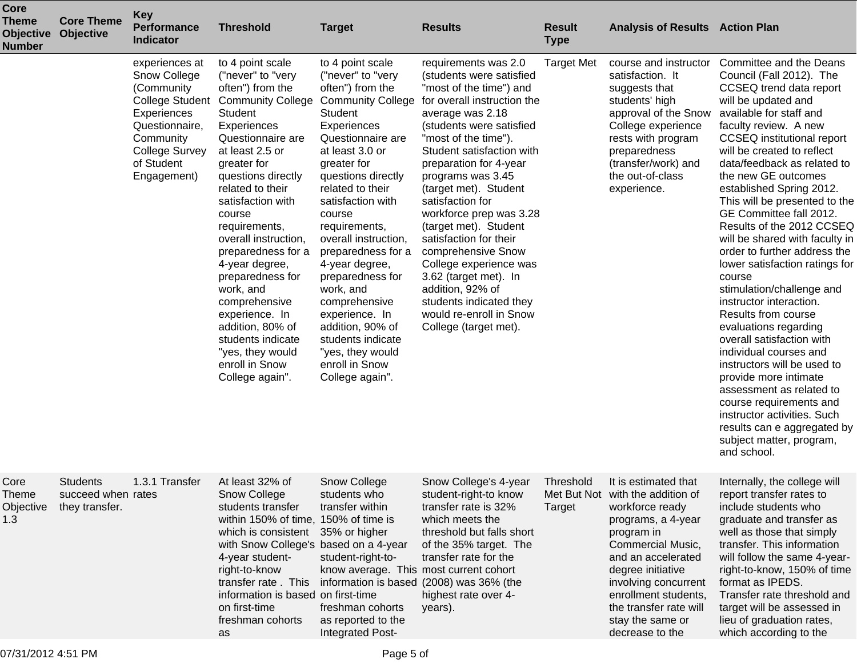| Core<br><b>Theme</b><br><b>Objective</b><br><b>Number</b> | <b>Core Theme</b><br><b>Objective</b>                   | <b>Key</b><br><b>Performance</b><br><b>Indicator</b>                                                                                             | <b>Threshold</b>                                                                                                                                                                                                                                                                                                                                                                                                                                                                                                       | <b>Target</b>                                                                                                                                                                                                                                                                                                                                                                                                                                                                                          | <b>Results</b>                                                                                                                                                                                                                                                                                                                                                                                                                                                                                                                                                        | <b>Result</b><br><b>Type</b> | <b>Analysis of Results Action Plan</b>                                                                                                                                                                                                                                                           |                                                                                                                                                                                                                                                                                                                                                                                                                                                                                                                                                                                                                                                                                                                                                                                                                                                                                                              |
|-----------------------------------------------------------|---------------------------------------------------------|--------------------------------------------------------------------------------------------------------------------------------------------------|------------------------------------------------------------------------------------------------------------------------------------------------------------------------------------------------------------------------------------------------------------------------------------------------------------------------------------------------------------------------------------------------------------------------------------------------------------------------------------------------------------------------|--------------------------------------------------------------------------------------------------------------------------------------------------------------------------------------------------------------------------------------------------------------------------------------------------------------------------------------------------------------------------------------------------------------------------------------------------------------------------------------------------------|-----------------------------------------------------------------------------------------------------------------------------------------------------------------------------------------------------------------------------------------------------------------------------------------------------------------------------------------------------------------------------------------------------------------------------------------------------------------------------------------------------------------------------------------------------------------------|------------------------------|--------------------------------------------------------------------------------------------------------------------------------------------------------------------------------------------------------------------------------------------------------------------------------------------------|--------------------------------------------------------------------------------------------------------------------------------------------------------------------------------------------------------------------------------------------------------------------------------------------------------------------------------------------------------------------------------------------------------------------------------------------------------------------------------------------------------------------------------------------------------------------------------------------------------------------------------------------------------------------------------------------------------------------------------------------------------------------------------------------------------------------------------------------------------------------------------------------------------------|
|                                                           |                                                         | experiences at<br>Snow College<br>(Community<br>Experiences<br>Questionnaire,<br>Community<br><b>College Survey</b><br>of Student<br>Engagement) | to 4 point scale<br>("never" to "very<br>often") from the<br><b>College Student Community College</b><br>Student<br>Experiences<br>Questionnaire are<br>at least 2.5 or<br>greater for<br>questions directly<br>related to their<br>satisfaction with<br>course<br>requirements,<br>overall instruction,<br>preparedness for a<br>4-year degree,<br>preparedness for<br>work, and<br>comprehensive<br>experience. In<br>addition, 80% of<br>students indicate<br>"yes, they would<br>enroll in Snow<br>College again". | to 4 point scale<br>("never" to "very<br>often") from the<br><b>Community College</b><br>Student<br>Experiences<br>Questionnaire are<br>at least 3.0 or<br>greater for<br>questions directly<br>related to their<br>satisfaction with<br>course<br>requirements,<br>overall instruction,<br>preparedness for a<br>4-year degree,<br>preparedness for<br>work, and<br>comprehensive<br>experience. In<br>addition, 90% of<br>students indicate<br>"yes, they would<br>enroll in Snow<br>College again". | requirements was 2.0<br>(students were satisfied<br>"most of the time") and<br>for overall instruction the<br>average was 2.18<br>(students were satisfied<br>"most of the time").<br>Student satisfaction with<br>preparation for 4-year<br>programs was 3.45<br>(target met). Student<br>satisfaction for<br>workforce prep was 3.28<br>(target met). Student<br>satisfaction for their<br>comprehensive Snow<br>College experience was<br>3.62 (target met). In<br>addition, 92% of<br>students indicated they<br>would re-enroll in Snow<br>College (target met). | <b>Target Met</b>            | course and instructor<br>satisfaction. It<br>suggests that<br>students' high<br>approval of the Snow<br>College experience<br>rests with program<br>preparedness<br>(transfer/work) and<br>the out-of-class<br>experience.                                                                       | Committee and the Deans<br>Council (Fall 2012). The<br>CCSEQ trend data report<br>will be updated and<br>available for staff and<br>faculty review. A new<br><b>CCSEQ</b> institutional report<br>will be created to reflect<br>data/feedback as related to<br>the new GE outcomes<br>established Spring 2012.<br>This will be presented to the<br>GE Committee fall 2012.<br>Results of the 2012 CCSEQ<br>will be shared with faculty in<br>order to further address the<br>lower satisfaction ratings for<br>course<br>stimulation/challenge and<br>instructor interaction.<br>Results from course<br>evaluations regarding<br>overall satisfaction with<br>individual courses and<br>instructors will be used to<br>provide more intimate<br>assessment as related to<br>course requirements and<br>instructor activities. Such<br>results can e aggregated by<br>subject matter, program,<br>and school. |
| Core<br>Theme<br>Objective<br>1.3                         | <b>Students</b><br>succeed when rates<br>they transfer. | 1.3.1 Transfer                                                                                                                                   | At least 32% of<br>Snow College<br>students transfer<br>within 150% of time, 150% of time is<br>which is consistent 35% or higher<br>with Snow College's based on a 4-year<br>4-year student-<br>right-to-know<br>transfer rate. This<br>information is based on first-time<br>on first-time<br>freshman cohorts<br>as                                                                                                                                                                                                 | Snow College<br>students who<br>transfer within<br>student-right-to-<br>know average. This most current cohort<br>freshman cohorts<br>as reported to the<br>Integrated Post-                                                                                                                                                                                                                                                                                                                           | Snow College's 4-year<br>student-right-to know<br>transfer rate is 32%<br>which meets the<br>threshold but falls short<br>of the 35% target. The<br>transfer rate for the<br>information is based (2008) was 36% (the<br>highest rate over 4-<br>years).                                                                                                                                                                                                                                                                                                              | Threshold<br>Target          | It is estimated that<br>Met But Not with the addition of<br>workforce ready<br>programs, a 4-year<br>program in<br>Commercial Music,<br>and an accelerated<br>degree initiative<br>involving concurrent<br>enrollment students,<br>the transfer rate will<br>stay the same or<br>decrease to the | Internally, the college will<br>report transfer rates to<br>include students who<br>graduate and transfer as<br>well as those that simply<br>transfer. This information<br>will follow the same 4-year-<br>right-to-know, 150% of time<br>format as IPEDS.<br>Transfer rate threshold and<br>target will be assessed in<br>lieu of graduation rates,<br>which according to the                                                                                                                                                                                                                                                                                                                                                                                                                                                                                                                               |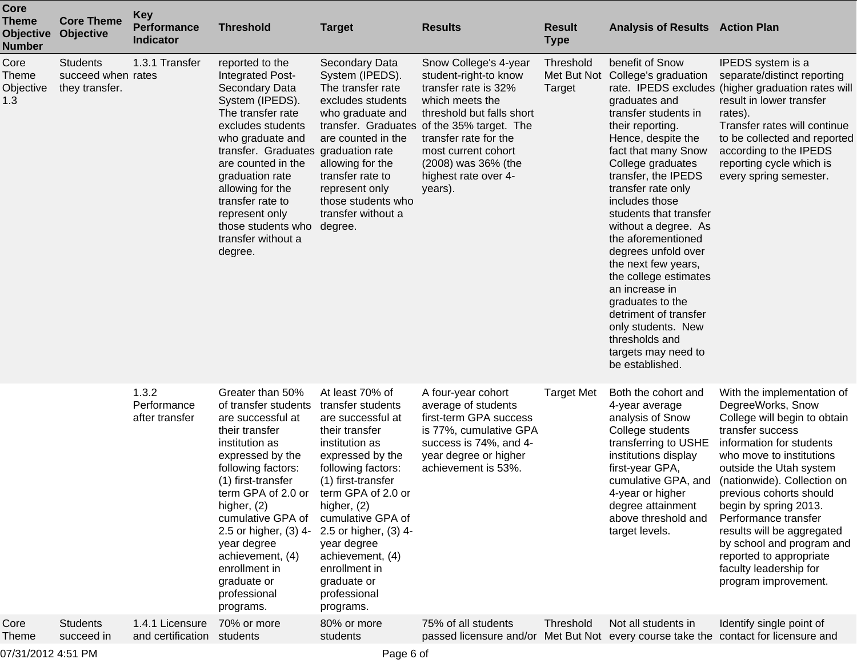| <b>Core</b><br><b>Theme</b><br><b>Objective</b><br><b>Number</b> | <b>Core Theme</b><br>Objective                          | <b>Key</b><br><b>Performance</b><br>Indicator | <b>Threshold</b>                                                                                                                                                                                                                                                                                                                                       | <b>Target</b>                                                                                                                                                                                                                                                                                                                                    | <b>Results</b>                                                                                                                                                                                                                                                                 | <b>Result</b><br><b>Type</b> | <b>Analysis of Results Action Plan</b>                                                                                                                                                                                                                                                                                                                                                                                                                                                                                                            |                                                                                                                                                                                                                                                                                                                                                                                                                                           |
|------------------------------------------------------------------|---------------------------------------------------------|-----------------------------------------------|--------------------------------------------------------------------------------------------------------------------------------------------------------------------------------------------------------------------------------------------------------------------------------------------------------------------------------------------------------|--------------------------------------------------------------------------------------------------------------------------------------------------------------------------------------------------------------------------------------------------------------------------------------------------------------------------------------------------|--------------------------------------------------------------------------------------------------------------------------------------------------------------------------------------------------------------------------------------------------------------------------------|------------------------------|---------------------------------------------------------------------------------------------------------------------------------------------------------------------------------------------------------------------------------------------------------------------------------------------------------------------------------------------------------------------------------------------------------------------------------------------------------------------------------------------------------------------------------------------------|-------------------------------------------------------------------------------------------------------------------------------------------------------------------------------------------------------------------------------------------------------------------------------------------------------------------------------------------------------------------------------------------------------------------------------------------|
| Core<br>Theme<br>Objective<br>1.3                                | <b>Students</b><br>succeed when rates<br>they transfer. | 1.3.1 Transfer                                | reported to the<br>Integrated Post-<br>Secondary Data<br>System (IPEDS).<br>The transfer rate<br>excludes students<br>who graduate and<br>transfer. Graduates graduation rate<br>are counted in the<br>graduation rate<br>allowing for the<br>transfer rate to<br>represent only<br>those students who<br>transfer without a<br>degree.                | Secondary Data<br>System (IPEDS).<br>The transfer rate<br>excludes students<br>who graduate and<br>are counted in the<br>allowing for the<br>transfer rate to<br>represent only<br>those students who<br>transfer without a<br>degree.                                                                                                           | Snow College's 4-year<br>student-right-to know<br>transfer rate is 32%<br>which meets the<br>threshold but falls short<br>transfer. Graduates of the 35% target. The<br>transfer rate for the<br>most current cohort<br>(2008) was 36% (the<br>highest rate over 4-<br>years). | Threshold<br><b>Target</b>   | benefit of Snow<br>Met But Not College's graduation<br>graduates and<br>transfer students in<br>their reporting.<br>Hence, despite the<br>fact that many Snow<br>College graduates<br>transfer, the IPEDS<br>transfer rate only<br>includes those<br>students that transfer<br>without a degree. As<br>the aforementioned<br>degrees unfold over<br>the next few years,<br>the college estimates<br>an increase in<br>graduates to the<br>detriment of transfer<br>only students. New<br>thresholds and<br>targets may need to<br>be established. | IPEDS system is a<br>separate/distinct reporting<br>rate. IPEDS excludes (higher graduation rates will<br>result in lower transfer<br>rates).<br>Transfer rates will continue<br>to be collected and reported<br>according to the IPEDS<br>reporting cycle which is<br>every spring semester.                                                                                                                                             |
|                                                                  |                                                         | 1.3.2<br>Performance<br>after transfer        | Greater than 50%<br>of transfer students<br>are successful at<br>their transfer<br>institution as<br>expressed by the<br>following factors:<br>(1) first-transfer<br>term GPA of 2.0 or<br>higher, $(2)$<br>cumulative GPA of<br>2.5 or higher, (3) 4-<br>year degree<br>achievement, (4)<br>enrollment in<br>graduate or<br>professional<br>programs. | At least 70% of<br>transfer students<br>are successful at<br>their transfer<br>institution as<br>expressed by the<br>following factors:<br>(1) first-transfer<br>term GPA of 2.0 or<br>higher, (2)<br>cumulative GPA of<br>2.5 or higher, (3) 4-<br>year degree<br>achievement, (4)<br>enrollment in<br>graduate or<br>professional<br>programs. | A four-year cohort<br>average of students<br>first-term GPA success<br>is 77%, cumulative GPA<br>success is 74%, and 4-<br>year degree or higher<br>achievement is 53%.                                                                                                        | <b>Target Met</b>            | Both the cohort and<br>4-year average<br>analysis of Snow<br>College students<br>transferring to USHE<br>institutions display<br>first-year GPA,<br>cumulative GPA, and<br>4-year or higher<br>degree attainment<br>above threshold and<br>target levels.                                                                                                                                                                                                                                                                                         | With the implementation of<br>DegreeWorks, Snow<br>College will begin to obtain<br>transfer success<br>information for students<br>who move to institutions<br>outside the Utah system<br>(nationwide). Collection on<br>previous cohorts should<br>begin by spring 2013.<br>Performance transfer<br>results will be aggregated<br>by school and program and<br>reported to appropriate<br>faculty leadership for<br>program improvement. |
| Core<br><b>Theme</b>                                             | <b>Students</b><br>succeed in                           | 1.4.1 Licensure<br>and certification          | 70% or more<br>students                                                                                                                                                                                                                                                                                                                                | 80% or more<br>students                                                                                                                                                                                                                                                                                                                          | 75% of all students                                                                                                                                                                                                                                                            | Threshold                    | Not all students in                                                                                                                                                                                                                                                                                                                                                                                                                                                                                                                               | Identify single point of<br>passed licensure and/or Met But Not every course take the contact for licensure and                                                                                                                                                                                                                                                                                                                           |

07/31/2012 4:51 PM Page 6 of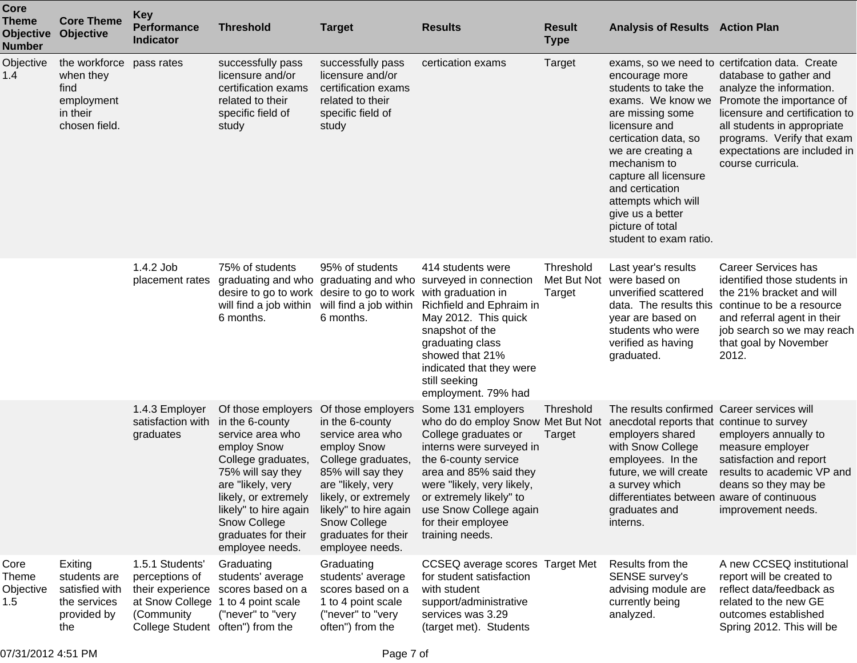| Core<br><b>Theme</b><br><b>Objective</b><br><b>Number</b> | <b>Core Theme</b><br><b>Objective</b>                                                    | <b>Key</b><br><b>Performance</b><br><b>Indicator</b>                                                                       | <b>Threshold</b>                                                                                                                                                                                                                                    | <b>Target</b>                                                                                                                                                                                                                                       | <b>Results</b>                                                                                                                                                                                                                                                                                                                      | <b>Result</b><br><b>Type</b> | <b>Analysis of Results Action Plan</b>                                                                                                                                                                                                                                                             |                                                                                                                                                                                                                                                                                       |
|-----------------------------------------------------------|------------------------------------------------------------------------------------------|----------------------------------------------------------------------------------------------------------------------------|-----------------------------------------------------------------------------------------------------------------------------------------------------------------------------------------------------------------------------------------------------|-----------------------------------------------------------------------------------------------------------------------------------------------------------------------------------------------------------------------------------------------------|-------------------------------------------------------------------------------------------------------------------------------------------------------------------------------------------------------------------------------------------------------------------------------------------------------------------------------------|------------------------------|----------------------------------------------------------------------------------------------------------------------------------------------------------------------------------------------------------------------------------------------------------------------------------------------------|---------------------------------------------------------------------------------------------------------------------------------------------------------------------------------------------------------------------------------------------------------------------------------------|
| Objective<br>1.4                                          | the workforce pass rates<br>when they<br>find<br>employment<br>in their<br>chosen field. |                                                                                                                            | successfully pass<br>licensure and/or<br>certification exams<br>related to their<br>specific field of<br>study                                                                                                                                      | successfully pass<br>licensure and/or<br>certification exams<br>related to their<br>specific field of<br>study                                                                                                                                      | certication exams                                                                                                                                                                                                                                                                                                                   | Target                       | encourage more<br>students to take the<br>exams. We know we<br>are missing some<br>licensure and<br>certication data, so<br>we are creating a<br>mechanism to<br>capture all licensure<br>and certication<br>attempts which will<br>give us a better<br>picture of total<br>student to exam ratio. | exams, so we need to certifcation data. Create<br>database to gather and<br>analyze the information.<br>Promote the importance of<br>licensure and certification to<br>all students in appropriate<br>programs. Verify that exam<br>expectations are included in<br>course curricula. |
|                                                           |                                                                                          | 1.4.2 Job<br>placement rates                                                                                               | 75% of students<br>will find a job within<br>6 months.                                                                                                                                                                                              | 95% of students<br>desire to go to work desire to go to work with graduation in<br>will find a job within<br>6 months.                                                                                                                              | 414 students were<br>graduating and who graduating and who surveyed in connection<br>Richfield and Ephraim in<br>May 2012. This quick<br>snapshot of the<br>graduating class<br>showed that 21%<br>indicated that they were<br>still seeking<br>employment. 79% had                                                                 | Threshold<br>Target          | Last year's results<br>Met But Not were based on<br>unverified scattered<br>year are based on<br>students who were<br>verified as having<br>graduated.                                                                                                                                             | <b>Career Services has</b><br>identified those students in<br>the 21% bracket and will<br>data. The results this continue to be a resource<br>and referral agent in their<br>job search so we may reach<br>that goal by November<br>2012.                                             |
|                                                           |                                                                                          | 1.4.3 Employer<br>satisfaction with<br>graduates                                                                           | Of those employers<br>in the 6-county<br>service area who<br>employ Snow<br>College graduates,<br>75% will say they<br>are "likely, very<br>likely, or extremely<br>likely" to hire again<br>Snow College<br>graduates for their<br>employee needs. | Of those employers<br>in the 6-county<br>service area who<br>employ Snow<br>College graduates,<br>85% will say they<br>are "likely, very<br>likely, or extremely<br>likely" to hire again<br>Snow College<br>graduates for their<br>employee needs. | Some 131 employers<br>who do do employ Snow Met But Not anecdotal reports that continue to survey<br>College graduates or<br>interns were surveyed in<br>the 6-county service<br>area and 85% said they<br>were "likely, very likely,<br>or extremely likely" to<br>use Snow College again<br>for their employee<br>training needs. | Threshold<br>Target          | The results confirmed Career services will<br>employers shared<br>with Snow College<br>employees. In the<br>future, we will create<br>a survey which<br>differentiates between aware of continuous<br>graduates and<br>interns.                                                                    | employers annually to<br>measure employer<br>satisfaction and report<br>results to academic VP and<br>deans so they may be<br>improvement needs.                                                                                                                                      |
| Core<br><b>Theme</b><br>Objective<br>1.5                  | Exiting<br>students are<br>satisfied with<br>the services<br>provided by<br>the          | 1.5.1 Students'<br>perceptions of<br>their experience<br>at Snow College<br>(Community<br>College Student often") from the | Graduating<br>students' average<br>scores based on a<br>1 to 4 point scale<br>("never" to "very                                                                                                                                                     | Graduating<br>students' average<br>scores based on a<br>1 to 4 point scale<br>("never" to "very<br>often") from the                                                                                                                                 | CCSEQ average scores Target Met<br>for student satisfaction<br>with student<br>support/administrative<br>services was 3.29<br>(target met). Students                                                                                                                                                                                |                              | Results from the<br>SENSE survey's<br>advising module are<br>currently being<br>analyzed.                                                                                                                                                                                                          | A new CCSEQ institutional<br>report will be created to<br>reflect data/feedback as<br>related to the new GE<br>outcomes established<br>Spring 2012. This will be                                                                                                                      |